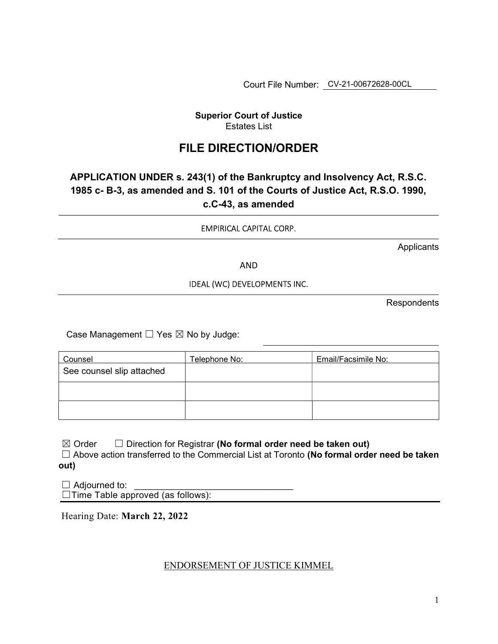Court File Number: CV-21-00672628-00CL

## Superior Court of Justice Estates List

## FILE DIRECTION/ORDER

## APPLICATION UNDER s. 243(1) of the Bankruptcy and Insolvency Act, R.S.C. 1985 c- B-3, as amended and S. 101 of the Courts of Justice Act, R.S.O. 1990, c.C-43, as amended

EMPIRICAL CAPITAL CORP.

**Applicants** 

AND

IDEAL (WC) DEVELOPMENTS INC.

Respondents

Case Management  $\Box$  Yes  $\boxtimes$  No by Judge:

| <b>Counsel</b>            | Telephone No: | Email/Facsimile No: |
|---------------------------|---------------|---------------------|
| See counsel slip attached |               |                     |
|                           |               |                     |
|                           |               |                     |

 $\boxtimes$  Order  $\Box$  Direction for Registrar (No formal order need be taken out)

□ Above action transferred to the Commercial List at Toronto (No formal order need be taken out)

 $\Box$  Adjourned to: ☐Time Table approved (as follows):

Hearing Date: March 22, 2022

## ENDORSEMENT OF JUSTICE KIMMEL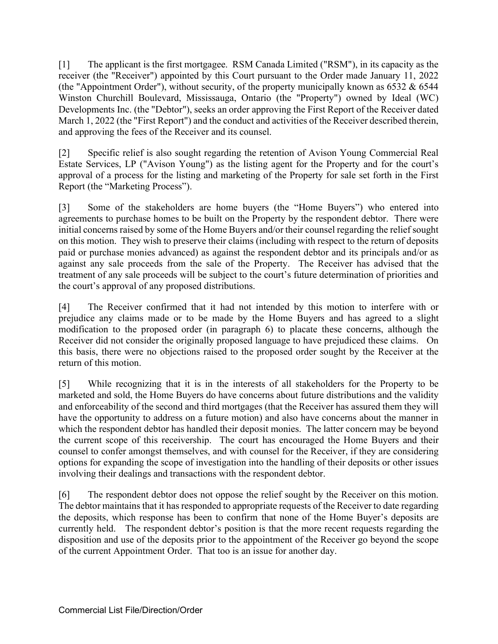[1] The applicant is the first mortgagee. RSM Canada Limited ("RSM"), in its capacity as the receiver (the "Receiver") appointed by this Court pursuant to the Order made January 11, 2022 (the "Appointment Order"), without security, of the property municipally known as  $6532 \& 6544$ Winston Churchill Boulevard, Mississauga, Ontario (the "Property") owned by Ideal (WC) Developments Inc. (the "Debtor"), seeks an order approving the First Report of the Receiver dated March 1, 2022 (the "First Report") and the conduct and activities of the Receiver described therein, and approving the fees of the Receiver and its counsel.

[2] Specific relief is also sought regarding the retention of Avison Young Commercial Real Estate Services, LP ("Avison Young") as the listing agent for the Property and for the court's approval of a process for the listing and marketing of the Property for sale set forth in the First Report (the "Marketing Process").

[3] Some of the stakeholders are home buyers (the "Home Buyers") who entered into agreements to purchase homes to be built on the Property by the respondent debtor. There were initial concerns raised by some of the Home Buyers and/or their counsel regarding the relief sought on this motion. They wish to preserve their claims (including with respect to the return of deposits paid or purchase monies advanced) as against the respondent debtor and its principals and/or as against any sale proceeds from the sale of the Property. The Receiver has advised that the treatment of any sale proceeds will be subject to the court's future determination of priorities and the court's approval of any proposed distributions.

[4] The Receiver confirmed that it had not intended by this motion to interfere with or prejudice any claims made or to be made by the Home Buyers and has agreed to a slight modification to the proposed order (in paragraph 6) to placate these concerns, although the Receiver did not consider the originally proposed language to have prejudiced these claims. On this basis, there were no objections raised to the proposed order sought by the Receiver at the return of this motion.

[5] While recognizing that it is in the interests of all stakeholders for the Property to be marketed and sold, the Home Buyers do have concerns about future distributions and the validity and enforceability of the second and third mortgages (that the Receiver has assured them they will have the opportunity to address on a future motion) and also have concerns about the manner in which the respondent debtor has handled their deposit monies. The latter concern may be beyond the current scope of this receivership. The court has encouraged the Home Buyers and their counsel to confer amongst themselves, and with counsel for the Receiver, if they are considering options for expanding the scope of investigation into the handling of their deposits or other issues involving their dealings and transactions with the respondent debtor.

[6] The respondent debtor does not oppose the relief sought by the Receiver on this motion. The debtor maintains that it has responded to appropriate requests of the Receiver to date regarding the deposits, which response has been to confirm that none of the Home Buyer's deposits are currently held. The respondent debtor's position is that the more recent requests regarding the disposition and use of the deposits prior to the appointment of the Receiver go beyond the scope of the current Appointment Order. That too is an issue for another day.